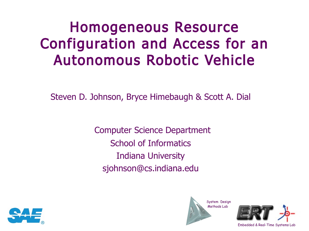#### Homogeneous Resource Configuration and Access for an Autonomous Robotic Vehicle

Steven D. Johnson, Bryce Himebaugh & Scott A. Dial

Computer Science Department School of Informatics Indiana University sjohnson@cs.indiana.edu





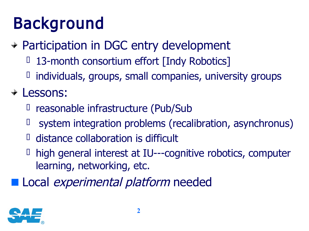# Background

- Participation in DGC entry development
	- 13-month consortium effort [Indy Robotics]
	- $I$  individuals, groups, small companies, university groups

#### Lessons:

- $\Box$  reasonable infrastructure (Pub/Sub
- $\Box$  system integration problems (recalibration, asynchronus)
- $\Box$  distance collaboration is difficult
- high general interest at IU---cognitive robotics, computer learning, networking, etc.
- Local experimental platform needed

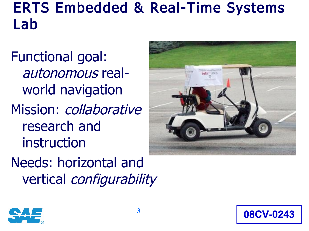#### ERTS Embedded & Real-Time Systems Lab

Functional goal: autonomous realworld navigation Mission: collaborative research and instruction Needs: horizontal and vertical configurability





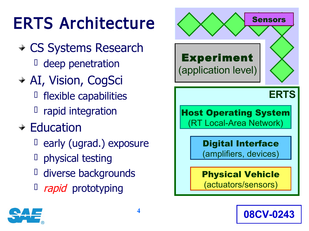# ERTS Architecture

- CS Systems Research  $\Box$  deep penetration
- AI, Vision, CogSci  $\Box$  flexible capabilities rapid integration
- $\div$  Education
	- $\Box$  early (ugrad.) exposure
	- $\Box$  physical testing
	- <sup>Il</sup> diverse backgrounds
	- <sup>I</sup> *rapid* prototyping



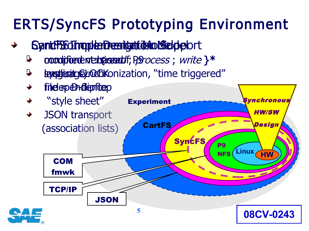### ERTS/SyncFS Prototyping Environment

- SynchSSdhoplenDentgution Melpolort
	- <sup>1</sup> component based of; P9rocess; write }\*
	- **Bygglang Exaction, "time triggered"**

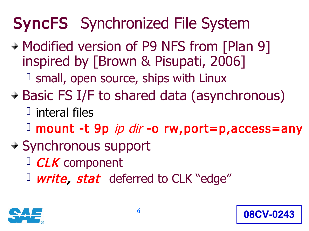## SyncFS Synchronized File System

- + Modified version of P9 NFS from [Plan 9] inspired by [Brown & Pisupati, 2006] small, open source, ships with Linux
- + Basic FS I/F to shared data (asynchronous)  $\Box$  interal files
	- $\Box$  mount -t 9p *ip dir* -o rw, port=p, access=any
- + Synchronous support
	- $\Box$  *CLK* component
	- $\Box$  write, stat deferred to CLK "edge"



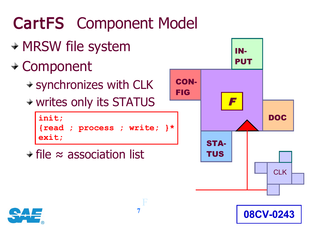# CartFS Component Model

- + MRSW file system
- Component
	- $\rightarrow$  synchronizes with CLK
	- writes only its STATUS

```
init;
{read ; process ; write; }*
exit;
```
file ≈ association list





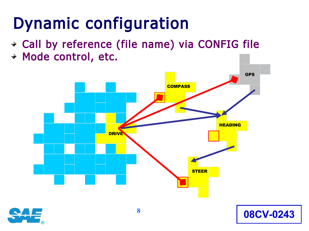# Dynamic configuration

- Call by reference (file name) via CONFIG file
- Mode control, etc.



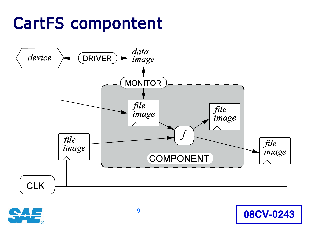### CartFS compontent



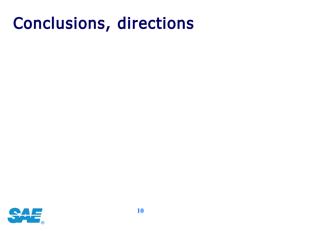### Conclusions, directions

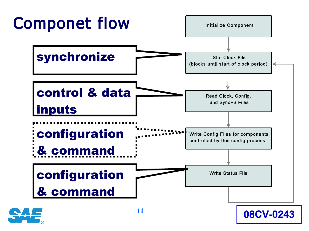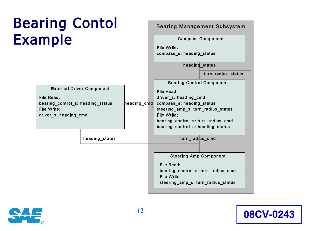#### Bearing Contol Example

File Read:

File Write:

driver s: heading cmd

**External Driver Component** 

heading\_status

bearing\_control\_s: heading\_status





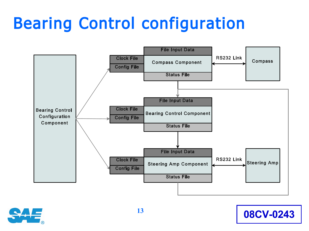## Bearing Control configuration





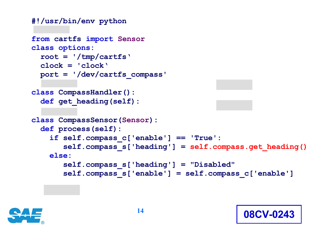```
#!/usr/bin/env python
from cartfs import Sensor
class options:
   root = '/tmp/cartfs'
   clock = 'clock'
   port = '/dev/cartfs_compass'
class CompassHandler():
   def get_heading(self):
class CompassSensor(Sensor):
   def process(self):
     if self.compass_c['enable'] == 'True':
        self.compass_s['heading'] = self.compass.get_heading()
     else:
        self.compass_s['heading'] = "Disabled"
        self.compass_s['enable'] = self.compass_c['enable']
```
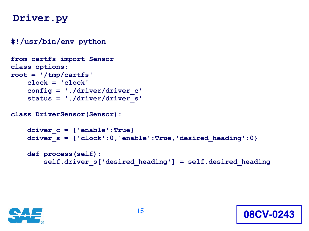#### **Driver.py**

#### **#!/usr/bin/env python**

```
from cartfs import Sensor
class options:
root = '/tmp/cartfs'
     clock = 'clock'
     config = './driver/driver_c'
     status = './driver/driver_s'
```
**class DriverSensor(Sensor):**

```
 driver_c = {'enable':True}
 driver_s = {'clock':0,'enable':True,'desired_heading':0}
```

```
 def process(self):
     self.driver_s['desired_heading'] = self.desired_heading
```
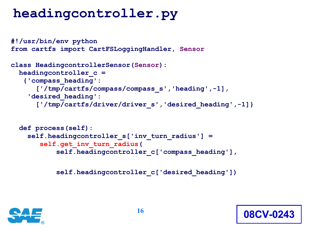#### **headingcontroller.py**

```
#!/usr/bin/env python
from cartfs import CartFSLoggingHandler, Sensor
class HeadingcontrollerSensor(Sensor):
   headingcontroller_c =
    {'compass_heading':
       ['/tmp/cartfs/compass/compass_s','heading',-1],
     'desired_heading':
       ['/tmp/cartfs/driver/driver_s','desired_heading',-1]}
   def process(self):
```

```
 self.headingcontroller_s['inv_turn_radius'] = 
    self.get_inv_turn_radius(
       self.headingcontroller c['compass_heading'],
```

```
 self.headingcontroller_c['desired_heading'])
```